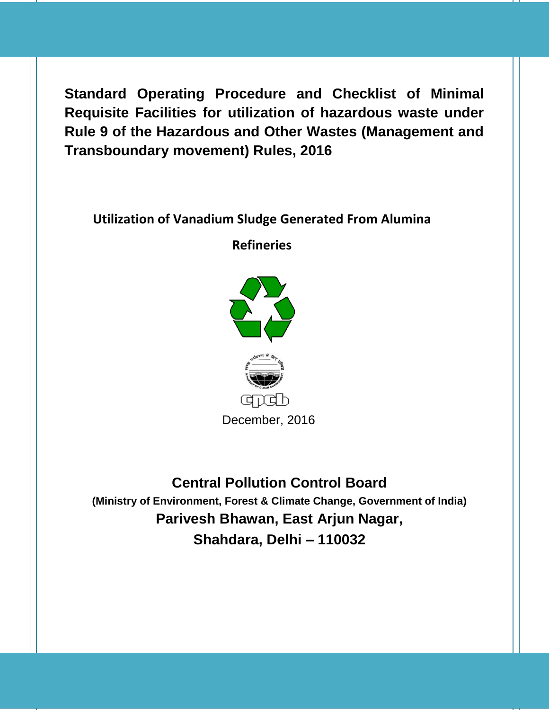**Standard Operating Procedure and Checklist of Minimal Requisite Facilities for utilization of hazardous waste under Rule 9 of the Hazardous and Other Wastes (Management and Transboundary movement) Rules, 2016**

# **Utilization of Vanadium Sludge Generated From Alumina**

**Refineries**





**Central Pollution Control Board (Ministry of Environment, Forest & Climate Change, Government of India) Parivesh Bhawan, East Arjun Nagar, Shahdara, Delhi – 110032**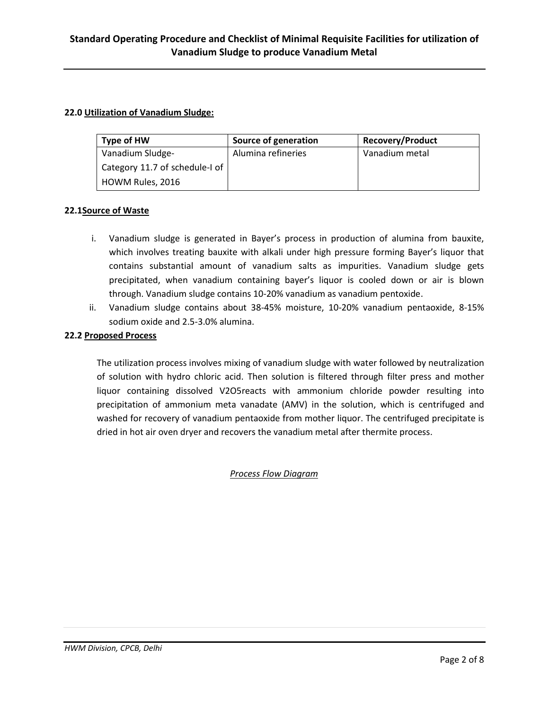## **22.0 Utilization of Vanadium Sludge:**

| Type of HW                     | Source of generation | <b>Recovery/Product</b> |
|--------------------------------|----------------------|-------------------------|
| Vanadium Sludge-               | Alumina refineries   | Vanadium metal          |
| Category 11.7 of schedule-I of |                      |                         |
| HOWM Rules, 2016               |                      |                         |

## **22.1Source of Waste**

- i. Vanadium sludge is generated in Bayer's process in production of alumina from bauxite, which involves treating bauxite with alkali under high pressure forming Bayer's liquor that contains substantial amount of vanadium salts as impurities. Vanadium sludge gets precipitated, when vanadium containing bayer's liquor is cooled down or air is blown through. Vanadium sludge contains 10-20% vanadium as vanadium pentoxide.
- ii. Vanadium sludge contains about 38-45% moisture, 10-20% vanadium pentaoxide, 8-15% sodium oxide and 2.5-3.0% alumina.

## **22.2 Proposed Process**

The utilization process involves mixing of vanadium sludge with water followed by neutralization of solution with hydro chloric acid. Then solution is filtered through filter press and mother liquor containing dissolved V2O5reacts with ammonium chloride powder resulting into precipitation of ammonium meta vanadate (AMV) in the solution, which is centrifuged and washed for recovery of vanadium pentaoxide from mother liquor. The centrifuged precipitate is dried in hot air oven dryer and recovers the vanadium metal after thermite process.

## *Process Flow Diagram*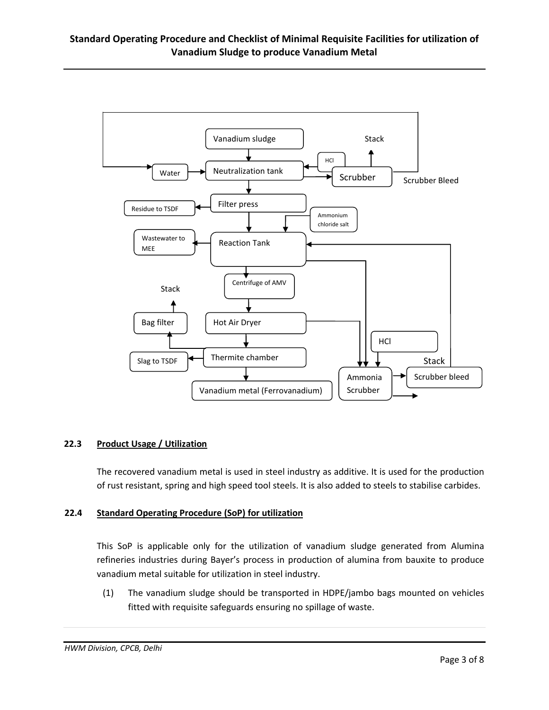

#### **22.3 Product Usage / Utilization**

The recovered vanadium metal is used in steel industry as additive. It is used for the production of rust resistant, spring and high speed tool steels. It is also added to steels to stabilise carbides.

#### **22.4 Standard Operating Procedure (SoP) for utilization**

This SoP is applicable only for the utilization of vanadium sludge generated from Alumina refineries industries during Bayer's process in production of alumina from bauxite to produce vanadium metal suitable for utilization in steel industry.

(1) The vanadium sludge should be transported in HDPE/jambo bags mounted on vehicles fitted with requisite safeguards ensuring no spillage of waste.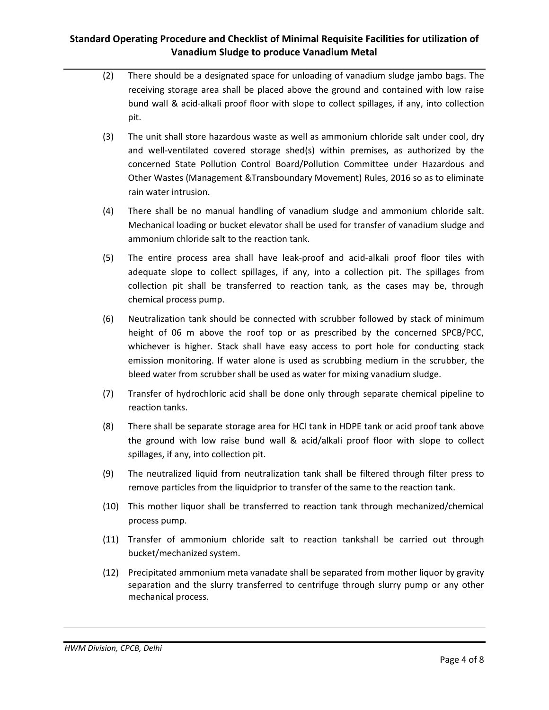- (2) There should be a designated space for unloading of vanadium sludge jambo bags. The receiving storage area shall be placed above the ground and contained with low raise bund wall & acid-alkali proof floor with slope to collect spillages, if any, into collection pit.
- (3) The unit shall store hazardous waste as well as ammonium chloride salt under cool, dry and well-ventilated covered storage shed(s) within premises, as authorized by the concerned State Pollution Control Board/Pollution Committee under Hazardous and Other Wastes (Management &Transboundary Movement) Rules, 2016 so as to eliminate rain water intrusion.
- (4) There shall be no manual handling of vanadium sludge and ammonium chloride salt. Mechanical loading or bucket elevator shall be used for transfer of vanadium sludge and ammonium chloride salt to the reaction tank.
- (5) The entire process area shall have leak-proof and acid-alkali proof floor tiles with adequate slope to collect spillages, if any, into a collection pit. The spillages from collection pit shall be transferred to reaction tank, as the cases may be, through chemical process pump.
- (6) Neutralization tank should be connected with scrubber followed by stack of minimum height of 06 m above the roof top or as prescribed by the concerned SPCB/PCC, whichever is higher. Stack shall have easy access to port hole for conducting stack emission monitoring. If water alone is used as scrubbing medium in the scrubber, the bleed water from scrubber shall be used as water for mixing vanadium sludge.
- (7) Transfer of hydrochloric acid shall be done only through separate chemical pipeline to reaction tanks.
- (8) There shall be separate storage area for HCl tank in HDPE tank or acid proof tank above the ground with low raise bund wall & acid/alkali proof floor with slope to collect spillages, if any, into collection pit.
- (9) The neutralized liquid from neutralization tank shall be filtered through filter press to remove particles from the liquidprior to transfer of the same to the reaction tank.
- (10) This mother liquor shall be transferred to reaction tank through mechanized/chemical process pump.
- (11) Transfer of ammonium chloride salt to reaction tankshall be carried out through bucket/mechanized system.
- (12) Precipitated ammonium meta vanadate shall be separated from mother liquor by gravity separation and the slurry transferred to centrifuge through slurry pump or any other mechanical process.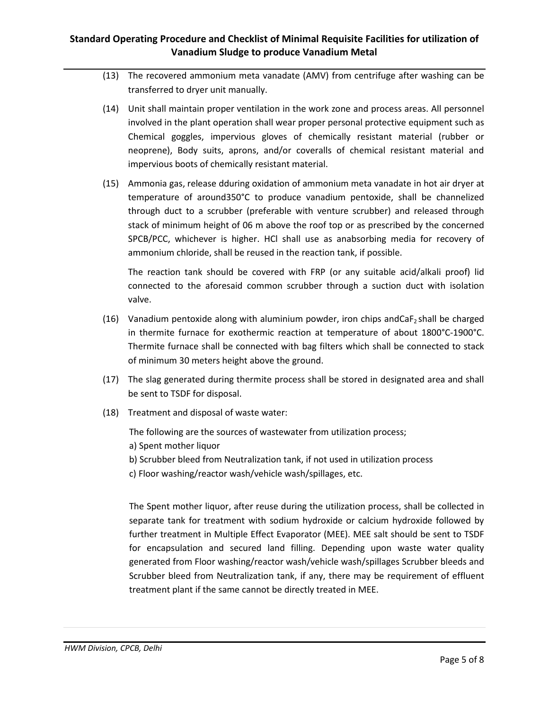- (13) The recovered ammonium meta vanadate (AMV) from centrifuge after washing can be transferred to dryer unit manually.
- (14) Unit shall maintain proper ventilation in the work zone and process areas. All personnel involved in the plant operation shall wear proper personal protective equipment such as Chemical goggles, impervious gloves of chemically resistant material (rubber or neoprene), Body suits, aprons, and/or coveralls of chemical resistant material and impervious boots of chemically resistant material.
- (15) Ammonia gas, release dduring oxidation of ammonium meta vanadate in hot air dryer at temperature of around350°C to produce vanadium pentoxide, shall be channelized through duct to a scrubber (preferable with venture scrubber) and released through stack of minimum height of 06 m above the roof top or as prescribed by the concerned SPCB/PCC, whichever is higher. HCl shall use as anabsorbing media for recovery of ammonium chloride, shall be reused in the reaction tank, if possible.

The reaction tank should be covered with FRP (or any suitable acid/alkali proof) lid connected to the aforesaid common scrubber through a suction duct with isolation valve.

- (16) Vanadium pentoxide along with aluminium powder, iron chips andCaF<sub>2</sub> shall be charged in thermite furnace for exothermic reaction at temperature of about 1800°C-1900°C. Thermite furnace shall be connected with bag filters which shall be connected to stack of minimum 30 meters height above the ground.
- (17) The slag generated during thermite process shall be stored in designated area and shall be sent to TSDF for disposal.
- (18) Treatment and disposal of waste water:

The following are the sources of wastewater from utilization process;

- a) Spent mother liquor
- b) Scrubber bleed from Neutralization tank, if not used in utilization process

c) Floor washing/reactor wash/vehicle wash/spillages, etc.

The Spent mother liquor, after reuse during the utilization process, shall be collected in separate tank for treatment with sodium hydroxide or calcium hydroxide followed by further treatment in Multiple Effect Evaporator (MEE). MEE salt should be sent to TSDF for encapsulation and secured land filling. Depending upon waste water quality generated from Floor washing/reactor wash/vehicle wash/spillages Scrubber bleeds and Scrubber bleed from Neutralization tank, if any, there may be requirement of effluent treatment plant if the same cannot be directly treated in MEE.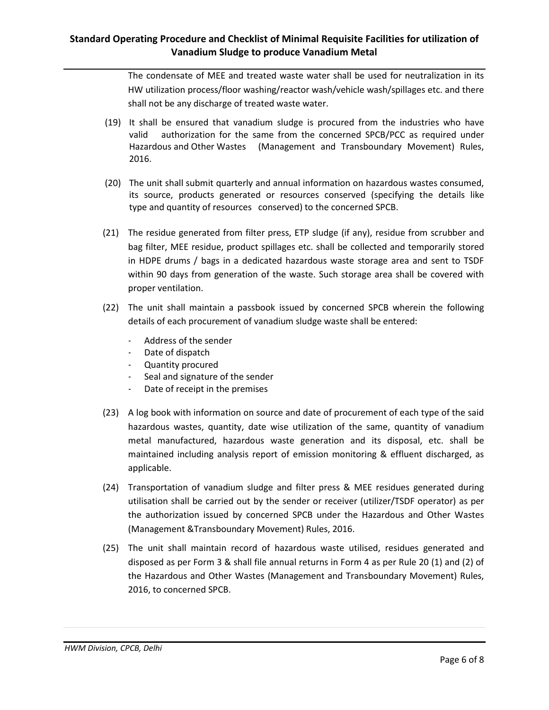The condensate of MEE and treated waste water shall be used for neutralization in its HW utilization process/floor washing/reactor wash/vehicle wash/spillages etc. and there shall not be any discharge of treated waste water.

- (19) It shall be ensured that vanadium sludge is procured from the industries who have valid authorization for the same from the concerned SPCB/PCC as required under Hazardous and Other Wastes (Management and Transboundary Movement) Rules, 2016.
- (20) The unit shall submit quarterly and annual information on hazardous wastes consumed, its source, products generated or resources conserved (specifying the details like type and quantity of resources conserved) to the concerned SPCB.
- (21) The residue generated from filter press, ETP sludge (if any), residue from scrubber and bag filter, MEE residue, product spillages etc. shall be collected and temporarily stored in HDPE drums / bags in a dedicated hazardous waste storage area and sent to TSDF within 90 days from generation of the waste. Such storage area shall be covered with proper ventilation.
- (22) The unit shall maintain a passbook issued by concerned SPCB wherein the following details of each procurement of vanadium sludge waste shall be entered:
	- Address of the sender
	- Date of dispatch
	- Quantity procured
	- Seal and signature of the sender
	- Date of receipt in the premises
- (23) A log book with information on source and date of procurement of each type of the said hazardous wastes, quantity, date wise utilization of the same, quantity of vanadium metal manufactured, hazardous waste generation and its disposal, etc. shall be maintained including analysis report of emission monitoring & effluent discharged, as applicable.
- (24) Transportation of vanadium sludge and filter press & MEE residues generated during utilisation shall be carried out by the sender or receiver (utilizer/TSDF operator) as per the authorization issued by concerned SPCB under the Hazardous and Other Wastes (Management &Transboundary Movement) Rules, 2016.
- (25) The unit shall maintain record of hazardous waste utilised, residues generated and disposed as per Form 3 & shall file annual returns in Form 4 as per Rule 20 (1) and (2) of the Hazardous and Other Wastes (Management and Transboundary Movement) Rules, 2016, to concerned SPCB.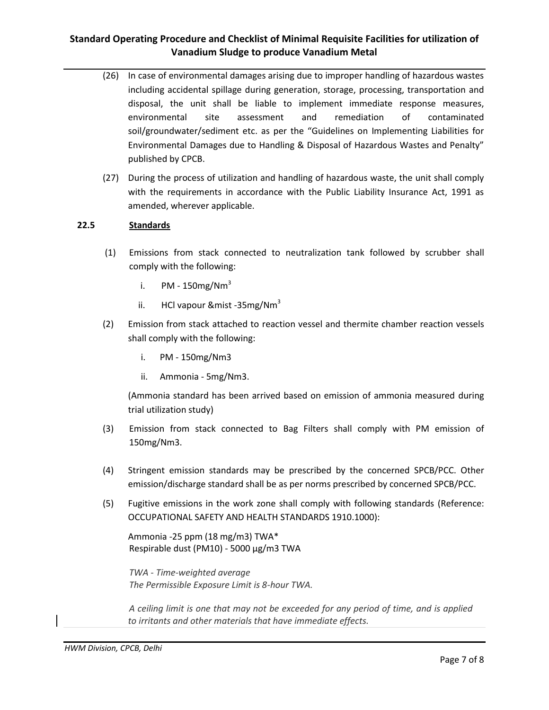- (26) In case of environmental damages arising due to improper handling of hazardous wastes including accidental spillage during generation, storage, processing, transportation and disposal, the unit shall be liable to implement immediate response measures, environmental site assessment and remediation of contaminated soil/groundwater/sediment etc. as per the "Guidelines on Implementing Liabilities for Environmental Damages due to Handling & Disposal of Hazardous Wastes and Penalty" published by CPCB.
- (27) During the process of utilization and handling of hazardous waste, the unit shall comply with the requirements in accordance with the Public Liability Insurance Act, 1991 as amended, wherever applicable.

## **22.5 Standards**

- (1) Emissions from stack connected to neutralization tank followed by scrubber shall comply with the following:
	- i. PM  $150$ mg/Nm<sup>3</sup>
	- ii. HCl vapour  $\&$  mist -35 mg/Nm<sup>3</sup>
- (2) Emission from stack attached to reaction vessel and thermite chamber reaction vessels shall comply with the following:
	- i. PM 150mg/Nm3
	- ii. Ammonia 5mg/Nm3.

(Ammonia standard has been arrived based on emission of ammonia measured during trial utilization study)

- (3) Emission from stack connected to Bag Filters shall comply with PM emission of 150mg/Nm3.
- (4) Stringent emission standards may be prescribed by the concerned SPCB/PCC. Other emission/discharge standard shall be as per norms prescribed by concerned SPCB/PCC.
- (5) Fugitive emissions in the work zone shall comply with following standards (Reference: OCCUPATIONAL SAFETY AND HEALTH STANDARDS 1910.1000):

Ammonia -25 ppm (18 mg/m3) TWA\* Respirable dust (PM10) - 5000 μg/m3 TWA

*TWA - Time-weighted average The Permissible Exposure Limit is 8-hour TWA.*

*A ceiling limit is one that may not be exceeded for any period of time, and is applied to irritants and other materials that have immediate effects.*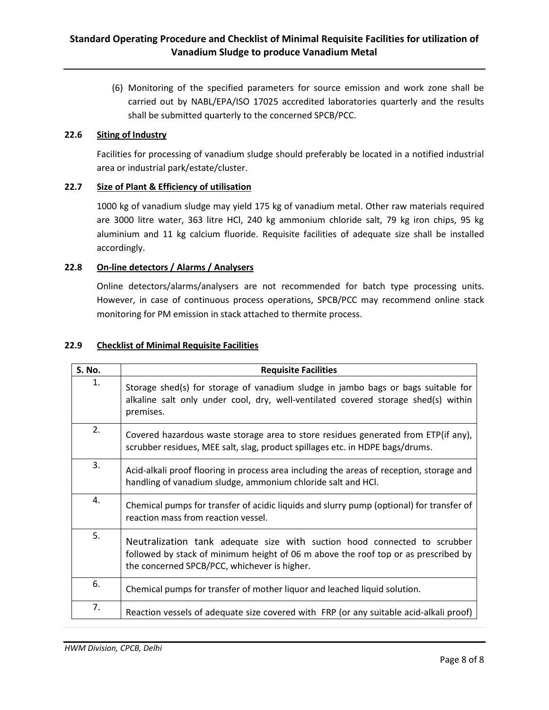(6) Monitoring of the specified parameters for source emission and work zone shall be carried out by NABL/EPA/ISO 17025 accredited laboratories quarterly and the results shall be submitted quarterly to the concerned SPCB/PCC.

## **22.6 Siting of Industry**

Facilities for processing of vanadium sludge should preferably be located in a notified industrial area or industrial park/estate/cluster.

## **22.7 Size of Plant & Efficiency of utilisation**

1000 kg of vanadium sludge may yield 175 kg of vanadium metal. Other raw materials required are 3000 litre water, 363 litre HCl, 240 kg ammonium chloride salt, 79 kg iron chips, 95 kg aluminium and 11 kg calcium fluoride. Requisite facilities of adequate size shall be installed accordingly.

## **22.8 On-line detectors / Alarms / Analysers**

Online detectors/alarms/analysers are not recommended for batch type processing units. However, in case of continuous process operations, SPCB/PCC may recommend online stack monitoring for PM emission in stack attached to thermite process.

## **22.9 Checklist of Minimal Requisite Facilities**

| S. No. | <b>Requisite Facilities</b>                                                                                                                                                                                     |
|--------|-----------------------------------------------------------------------------------------------------------------------------------------------------------------------------------------------------------------|
| 1.     | Storage shed(s) for storage of vanadium sludge in jambo bags or bags suitable for<br>alkaline salt only under cool, dry, well-ventilated covered storage shed(s) within<br>premises.                            |
| 2.     | Covered hazardous waste storage area to store residues generated from ETP(if any),<br>scrubber residues, MEE salt, slag, product spillages etc. in HDPE bags/drums.                                             |
| 3.     | Acid-alkali proof flooring in process area including the areas of reception, storage and<br>handling of vanadium sludge, ammonium chloride salt and HCl.                                                        |
| 4.     | Chemical pumps for transfer of acidic liquids and slurry pump (optional) for transfer of<br>reaction mass from reaction vessel.                                                                                 |
| 5.     | Neutralization tank adequate size with suction hood connected to scrubber<br>followed by stack of minimum height of 06 m above the roof top or as prescribed by<br>the concerned SPCB/PCC, whichever is higher. |
| 6.     | Chemical pumps for transfer of mother liquor and leached liquid solution.                                                                                                                                       |
| 7.     | Reaction vessels of adequate size covered with FRP (or any suitable acid-alkali proof)                                                                                                                          |